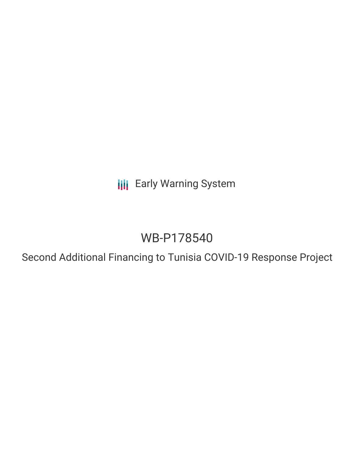**III** Early Warning System

# WB-P178540

Second Additional Financing to Tunisia COVID-19 Response Project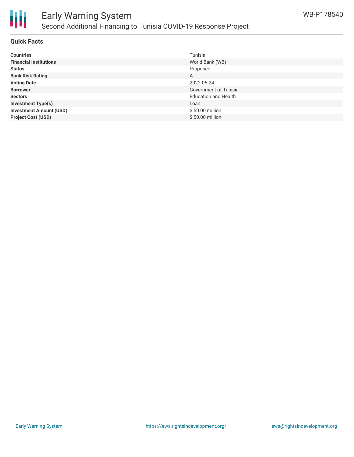

# **Quick Facts**

| <b>Countries</b>               | Tunisia                     |
|--------------------------------|-----------------------------|
| <b>Financial Institutions</b>  | World Bank (WB)             |
| <b>Status</b>                  | Proposed                    |
| <b>Bank Risk Rating</b>        | A                           |
| <b>Voting Date</b>             | 2022-05-24                  |
| <b>Borrower</b>                | Government of Tunisia       |
| <b>Sectors</b>                 | <b>Education and Health</b> |
| <b>Investment Type(s)</b>      | Loan                        |
| <b>Investment Amount (USD)</b> | \$50.00 million             |
| <b>Project Cost (USD)</b>      | \$50.00 million             |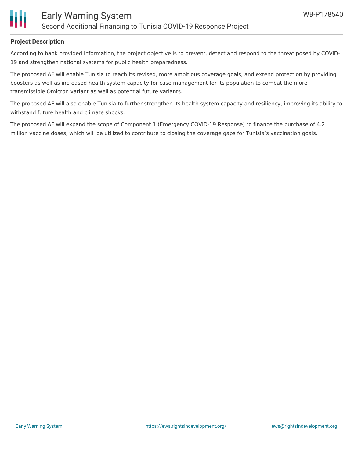

#### **Project Description**

According to bank provided information, the project objective is to prevent, detect and respond to the threat posed by COVID-19 and strengthen national systems for public health preparedness.

The proposed AF will enable Tunisia to reach its revised, more ambitious coverage goals, and extend protection by providing boosters as well as increased health system capacity for case management for its population to combat the more transmissible Omicron variant as well as potential future variants.

The proposed AF will also enable Tunisia to further strengthen its health system capacity and resiliency, improving its ability to withstand future health and climate shocks.

The proposed AF will expand the scope of Component 1 (Emergency COVID-19 Response) to finance the purchase of 4.2 million vaccine doses, which will be utilized to contribute to closing the coverage gaps for Tunisia's vaccination goals.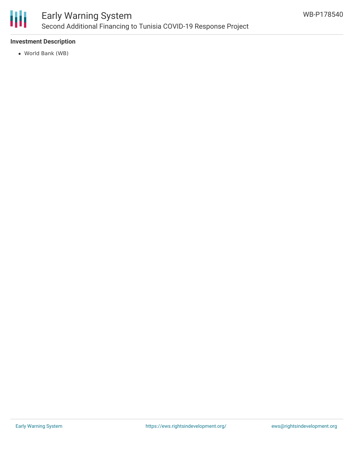

# **Investment Description**

World Bank (WB)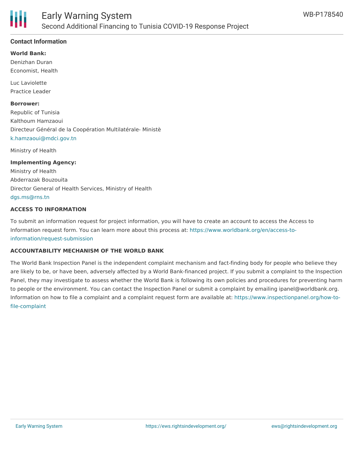# **Contact Information**

**World Bank:**

Denizhan Duran Economist, Health

Luc Laviolette Practice Leader

**Borrower:**

Republic of Tunisia Kalthoum Hamzaoui Directeur Général de la Coopération Multilatérale- Ministè [k.hamzaoui@mdci.gov.tn](mailto:k.hamzaoui@mdci.gov.tn)

Ministry of Health

#### **Implementing Agency:**

Ministry of Health Abderrazak Bouzouita Director General of Health Services, Ministry of Health [dgs.ms@rns.tn](mailto:dgs.ms@rns.tn)

### **ACCESS TO INFORMATION**

To submit an information request for project information, you will have to create an account to access the Access to Information request form. You can learn more about this process at: [https://www.worldbank.org/en/access-to](https://www.worldbank.org/en/access-to-information/request-submission)information/request-submission

#### **ACCOUNTABILITY MECHANISM OF THE WORLD BANK**

The World Bank Inspection Panel is the independent complaint mechanism and fact-finding body for people who believe they are likely to be, or have been, adversely affected by a World Bank-financed project. If you submit a complaint to the Inspection Panel, they may investigate to assess whether the World Bank is following its own policies and procedures for preventing harm to people or the environment. You can contact the Inspection Panel or submit a complaint by emailing ipanel@worldbank.org. Information on how to file a complaint and a complaint request form are available at: [https://www.inspectionpanel.org/how-to](https://www.inspectionpanel.org/how-to-file-complaint)file-complaint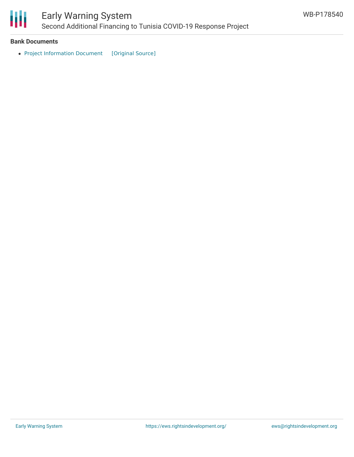

#### **Bank Documents**

• Project [Information](https://ewsdata.rightsindevelopment.org/files/documents/40/WB-P178540.pdf) Document [\[Original](https://documents1.worldbank.org/curated/en/099120003022230869/pdf/Project0Inform0e0Project000P178540.pdf) Source]